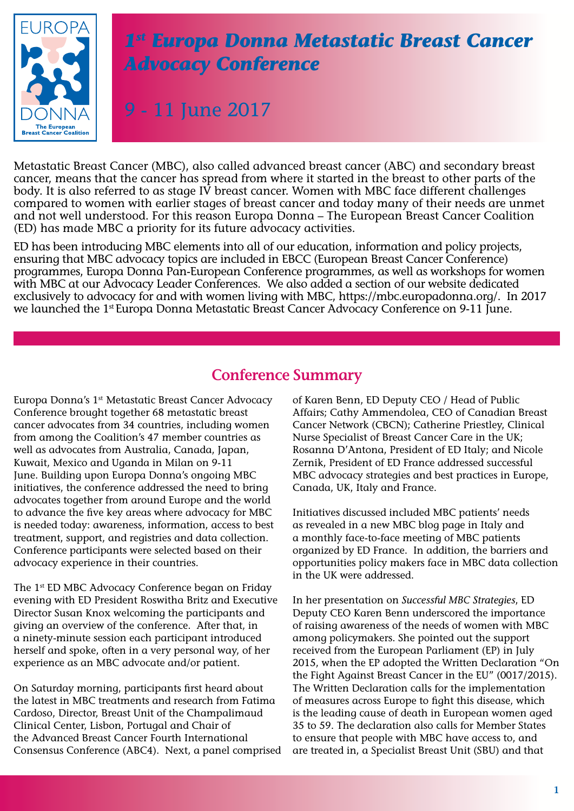

# *1st Europa Donna Metastatic Breast Cancer Advocacy Conference*

9 - 11 June 2017

body. It is also referred to as stage IV breast cancer. Women with MBC face different challenges Metastatic Breast Cancer (MBC), also called advanced breast cancer (ABC) and secondary breast cancer, means that the cancer has spread from where it started in the breast to other parts of the compared to women with earlier stages of breast cancer and today many of their needs are unmet and not well understood. For this reason Europa Donna – The European Breast Cancer Coalition (ED) has made MBC a priority for its future advocacy activities.

> ED has been introducing MBC elements into all of our education, information and policy projects, ensuring that MBC advocacy topics are included in EBCC (European Breast Cancer Conference) programmes, Europa Donna Pan-European Conference programmes, as well as workshops for women with MBC at our Advocacy Leader Conferences. We also added a section of our website dedicated exclusively to advocacy for and with women living with MBC, https://mbc.europadonna.org/. In 2017 we launched the 1<sup>st</sup> Europa Donna Metastatic Breast Cancer Advocacy Conference on 9-11 June.

# **Conference Summary**

Europa Donna's 1st Metastatic Breast Cancer Advocacy Conference brought together 68 metastatic breast cancer advocates from 34 countries, including women from among the Coalition's 47 member countries as well as advocates from Australia, Canada, Japan, Kuwait, Mexico and Uganda in Milan on 9-11 June. Building upon Europa Donna's ongoing MBC initiatives, the conference addressed the need to bring advocates together from around Europe and the world to advance the five key areas where advocacy for MBC is needed today: awareness, information, access to best treatment, support, and registries and data collection. Conference participants were selected based on their advocacy experience in their countries.

The 1<sup>st</sup> ED MBC Advocacy Conference began on Friday evening with ED President Roswitha Britz and Executive Director Susan Knox welcoming the participants and giving an overview of the conference. After that, in a ninety-minute session each participant introduced herself and spoke, often in a very personal way, of her experience as an MBC advocate and/or patient.

On Saturday morning, participants first heard about the latest in MBC treatments and research from Fatima Cardoso, Director, Breast Unit of the Champalimaud Clinical Center, Lisbon, Portugal and Chair of the Advanced Breast Cancer Fourth International Consensus Conference (ABC4). Next, a panel comprised of Karen Benn, ED Deputy CEO / Head of Public Affairs; Cathy Ammendolea, CEO of Canadian Breast Cancer Network (CBCN); Catherine Priestley, Clinical Nurse Specialist of Breast Cancer Care in the UK; Rosanna D'Antona, President of ED Italy; and Nicole Zernik, President of ED France addressed successful MBC advocacy strategies and best practices in Europe, Canada, UK, Italy and France.

Initiatives discussed included MBC patients' needs as revealed in a new MBC blog page in Italy and a monthly face-to-face meeting of MBC patients organized by ED France. In addition, the barriers and opportunities policy makers face in MBC data collection in the UK were addressed.

In her presentation on *Successful MBC Strategies*, ED Deputy CEO Karen Benn underscored the importance of raising awareness of the needs of women with MBC among policymakers. She pointed out the support received from the European Parliament (EP) in July 2015, when the EP adopted the Written Declaration "On the Fight Against Breast Cancer in the EU" (0017/2015). The Written Declaration calls for the implementation of measures across Europe to fight this disease, which is the leading cause of death in European women aged 35 to 59. The declaration also calls for Member States to ensure that people with MBC have access to, and are treated in, a Specialist Breast Unit (SBU) and that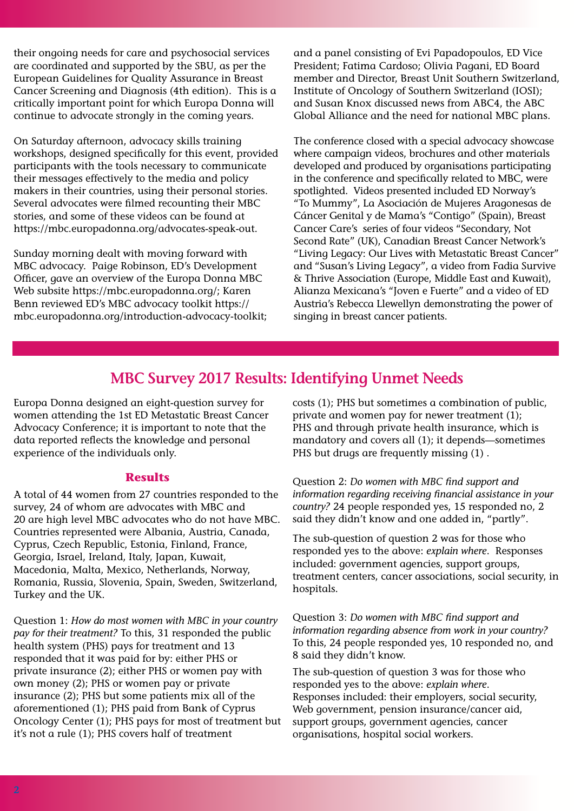their ongoing needs for care and psychosocial services are coordinated and supported by the SBU, as per the European Guidelines for Quality Assurance in Breast Cancer Screening and Diagnosis (4th edition). This is a critically important point for which Europa Donna will continue to advocate strongly in the coming years.

On Saturday afternoon, advocacy skills training workshops, designed specifically for this event, provided participants with the tools necessary to communicate their messages effectively to the media and policy makers in their countries, using their personal stories. Several advocates were filmed recounting their MBC stories, and some of these videos can be found at https://mbc.europadonna.org/advocates-speak-out.

Sunday morning dealt with moving forward with MBC advocacy. Paige Robinson, ED's Development Officer, gave an overview of the Europa Donna MBC Web subsite https://mbc.europadonna.org/; Karen Benn reviewed ED's MBC advocacy toolkit https:// mbc.europadonna.org/introduction-advocacy-toolkit; and a panel consisting of Evi Papadopoulos, ED Vice President; Fatima Cardoso; Olivia Pagani, ED Board member and Director, Breast Unit Southern Switzerland, Institute of Oncology of Southern Switzerland (IOSI); and Susan Knox discussed news from ABC4, the ABC Global Alliance and the need for national MBC plans.

The conference closed with a special advocacy showcase where campaign videos, brochures and other materials developed and produced by organisations participating in the conference and specifically related to MBC, were spotlighted. Videos presented included ED Norway's "To Mummy", La Asociación de Mujeres Aragonesas de Cáncer Genital y de Mama's "Contigo" (Spain), Breast Cancer Care's series of four videos "Secondary, Not Second Rate" (UK), Canadian Breast Cancer Network's "Living Legacy: Our Lives with Metastatic Breast Cancer" and "Susan's Living Legacy", a video from Fadia Survive & Thrive Association (Europe, Middle East and Kuwait), Alianza Mexicana's "Joven e Fuerte" and a video of ED Austria's Rebecca Llewellyn demonstrating the power of singing in breast cancer patients.

## **MBC Survey 2017 Results: Identifying Unmet Needs**

Europa Donna designed an eight-question survey for women attending the 1st ED Metastatic Breast Cancer Advocacy Conference; it is important to note that the data reported reflects the knowledge and personal experience of the individuals only.

#### **Results**

A total of 44 women from 27 countries responded to the survey, 24 of whom are advocates with MBC and 20 are high level MBC advocates who do not have MBC. Countries represented were Albania, Austria, Canada, Cyprus, Czech Republic, Estonia, Finland, France, Georgia, Israel, Ireland, Italy, Japan, Kuwait, Macedonia, Malta, Mexico, Netherlands, Norway, Romania, Russia, Slovenia, Spain, Sweden, Switzerland, Turkey and the UK.

Question 1: *How do most women with MBC in your country pay for their treatment?* To this, 31 responded the public health system (PHS) pays for treatment and 13 responded that it was paid for by: either PHS or private insurance (2); either PHS or women pay with own money (2); PHS or women pay or private insurance (2); PHS but some patients mix all of the aforementioned (1); PHS paid from Bank of Cyprus Oncology Center (1); PHS pays for most of treatment but it's not a rule (1); PHS covers half of treatment

costs (1); PHS but sometimes a combination of public, private and women pay for newer treatment (1); PHS and through private health insurance, which is mandatory and covers all (1); it depends—sometimes PHS but drugs are frequently missing (1) .

Question 2: *Do women with MBC find support and information regarding receiving financial assistance in your country?* 24 people responded yes, 15 responded no, 2 said they didn't know and one added in, "partly".

The sub-question of question 2 was for those who responded yes to the above: *explain where*. Responses included: government agencies, support groups, treatment centers, cancer associations, social security, in hospitals.

Question 3: *Do women with MBC find support and information regarding absence from work in your country?*  To this, 24 people responded yes, 10 responded no, and 8 said they didn't know.

The sub-question of question 3 was for those who responded yes to the above: *explain where*. Responses included: their employers, social security, Web government, pension insurance/cancer aid, support groups, government agencies, cancer organisations, hospital social workers.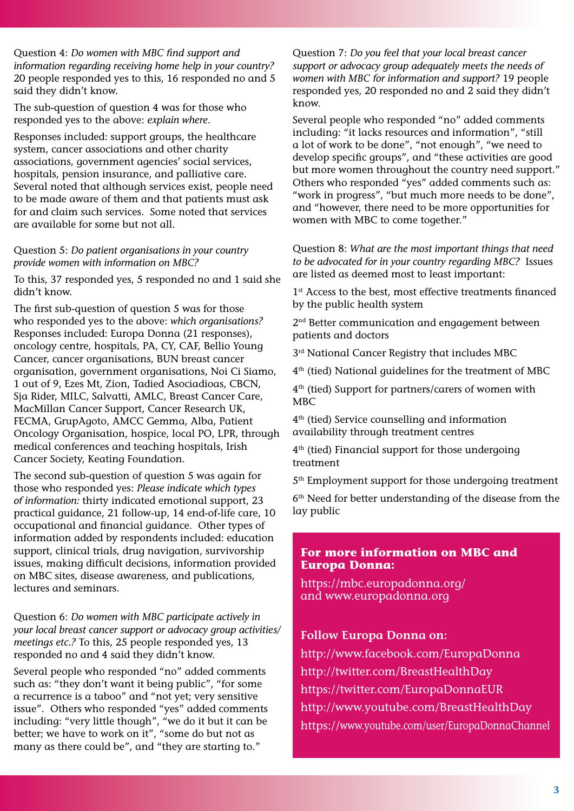Question 4: *Do women with MBC find support and information regarding receiving home help in your country?* 20 people responded yes to this, 16 responded no and 5 said they didn't know.

The sub-question of question 4 was for those who responded yes to the above: *explain where*.

Responses included: support groups, the healthcare system, cancer associations and other charity associations, government agencies' social services, hospitals, pension insurance, and palliative care. Several noted that although services exist, people need to be made aware of them and that patients must ask for and claim such services. Some noted that services are available for some but not all.

#### Question 5: *Do patient organisations in your country provide women with information on MBC?*

To this, 37 responded yes, 5 responded no and 1 said she didn't know.

The first sub-question of question 5 was for those who responded yes to the above: *which organisations?* Responses included: Europa Donna (21 responses), oncology centre, hospitals, PA, CY, CAF, Bellio Young Cancer, cancer organisations, BUN breast cancer organisation, government organisations, Noi Ci Siamo, 1 out of 9, Ezes Mt, Zion, Tadied Asociadioas, CBCN, Sja Rider, MILC, Salvatti, AMLC, Breast Cancer Care, MacMillan Cancer Support, Cancer Research UK, FECMA, GrupAgoto, AMCC Gemma, Alba, Patient Oncology Organisation, hospice, local PO, LPR, through medical conferences and teaching hospitals, Irish Cancer Society, Keating Foundation.

The second sub-question of question 5 was again for those who responded yes: *Please indicate which types of information:* thirty indicated emotional support, 23 practical guidance, 21 follow-up, 14 end-of-life care, 10 occupational and financial guidance. Other types of information added by respondents included: education support, clinical trials, drug navigation, survivorship issues, making difficult decisions, information provided on MBC sites, disease awareness, and publications, lectures and seminars.

Question 6: *Do women with MBC participate actively in your local breast cancer support or advocacy group activities/ meetings etc.?* To this, 25 people responded yes, 13 responded no and 4 said they didn't know.

Several people who responded "no" added comments such as: "they don't want it being public", "for some a recurrence is a taboo" and "not yet; very sensitive issue". Others who responded "yes" added comments including: "very little though", "we do it but it can be better; we have to work on it", "some do but not as many as there could be", and "they are starting to."

Question 7: *Do you feel that your local breast cancer support or advocacy group adequately meets the needs of women with MBC for information and support?* 19 people responded yes, 20 responded no and 2 said they didn't know.

Several people who responded "no" added comments including: "it lacks resources and information", "still a lot of work to be done", "not enough", "we need to develop specific groups", and "these activities are good but more women throughout the country need support." Others who responded "yes" added comments such as: "work in progress", "but much more needs to be done", and "however, there need to be more opportunities for women with MBC to come together."

Question 8: *What are the most important things that need to be advocated for in your country regarding MBC?* Issues are listed as deemed most to least important:

1<sup>st</sup> Access to the best, most effective treatments financed by the public health system

2<sup>nd</sup> Better communication and engagement between patients and doctors

 $3<sup>rd</sup>$  National Cancer Registry that includes MBC

4th (tied) National guidelines for the treatment of MBC

4th (tied) Support for partners/carers of women with MBC

4th (tied) Service counselling and information availability through treatment centres

4th (tied) Financial support for those undergoing treatment

5th Employment support for those undergoing treatment

6<sup>th</sup> Need for better understanding of the disease from the lay public

#### **For more information on MBC and Europa Donna:**

https://mbc.europadonna.org/ and www.europadonna.org

### **Follow Europa Donna on:**

http://www.facebook.com/EuropaDonna http://twitter.com/BreastHealthDay https://twitter.com/EuropaDonnaEUR http://www.youtube.com/BreastHealthDay https://www.youtube.com/user/EuropaDonnaChannel